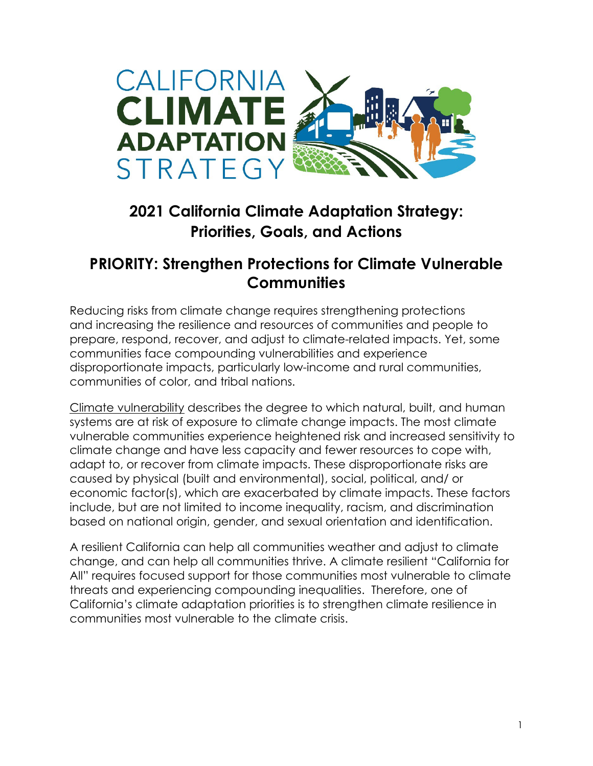

# **2021 California Climate Adaptation Strategy: Priorities, Goals, and Actions**

# **PRIORITY: Strengthen Protections for Climate Vulnerable Communities**

Reducing risks from climate change requires strengthening protections and increasing the resilience and resources of communities and people to prepare, respond, recover, and adjust to climate-related impacts. Yet, some communities face compounding vulnerabilities and experience disproportionate impacts, particularly low-income and rural communities, communities of color, and tribal nations.

[Climate vulnerability](https://opr.ca.gov/docs/20180723-Vulnerable_Communities.pdf) describes the degree to which natural, built, and human systems are at risk of exposure to climate change impacts. The most climate vulnerable communities experience heightened risk and increased sensitivity to climate change and have less capacity and fewer resources to cope with, adapt to, or recover from climate impacts. These disproportionate risks are caused by physical (built and environmental), social, political, and/ or economic factor(s), which are exacerbated by climate impacts. These factors include, but are not limited to income inequality, racism, and discrimination based on national origin, gender, and sexual orientation and identification.

A resilient California can help all communities weather and adjust to climate change, and can help all communities thrive. A climate resilient "California for All" requires focused support for those communities most vulnerable to climate threats and experiencing compounding inequalities. Therefore, one of California's climate adaptation priorities is to strengthen climate resilience in communities most vulnerable to the climate crisis.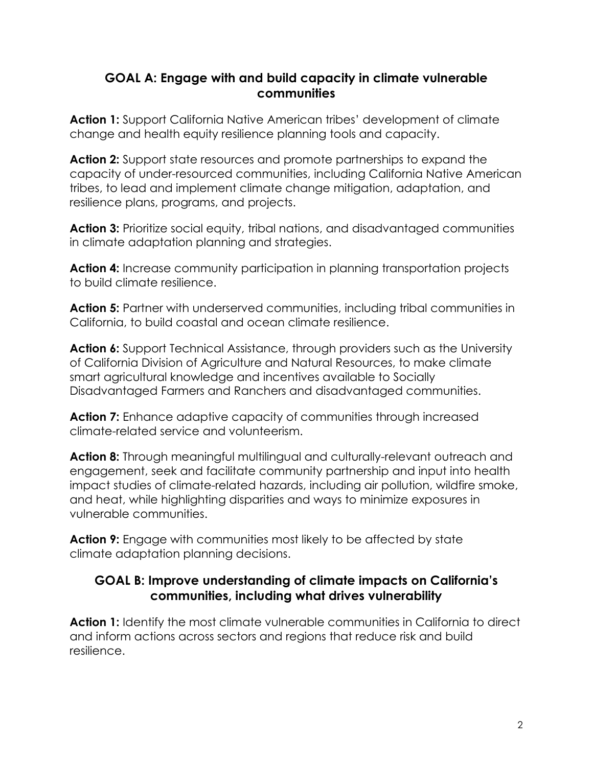#### **GOAL A: Engage with and build capacity in climate vulnerable communities**

Action 1: Support California Native American tribes' development of climate change and health equity resilience planning tools and capacity.

**Action 2:** Support state resources and promote partnerships to expand the capacity of under-resourced communities, including California Native American tribes, to lead and implement climate change mitigation, adaptation, and resilience plans, programs, and projects.

**Action 3:** Prioritize social equity, tribal nations, and disadvantaged communities in climate adaptation planning and strategies.

**Action 4:** Increase community participation in planning transportation projects to build climate resilience.

**Action 5:** Partner with underserved communities, including tribal communities in California, to build coastal and ocean climate resilience.

**Action 6:** Support Technical Assistance, through providers such as the University of California Division of Agriculture and Natural Resources, to make climate smart agricultural knowledge and incentives available to Socially Disadvantaged Farmers and Ranchers and disadvantaged communities.

Action 7: Enhance adaptive capacity of communities through increased climate-related service and volunteerism.

Action 8: Through meaningful multilingual and culturally-relevant outreach and engagement, seek and facilitate community partnership and input into health impact studies of climate-related hazards, including air pollution, wildfire smoke, and heat, while highlighting disparities and ways to minimize exposures in vulnerable communities.

**Action 9:** Engage with communities most likely to be affected by state climate adaptation planning decisions.

### **GOAL B: Improve understanding of climate impacts on California's communities, including what drives vulnerability**

**Action 1:** Identify the most climate vulnerable communities in California to direct and inform actions across sectors and regions that reduce risk and build resilience.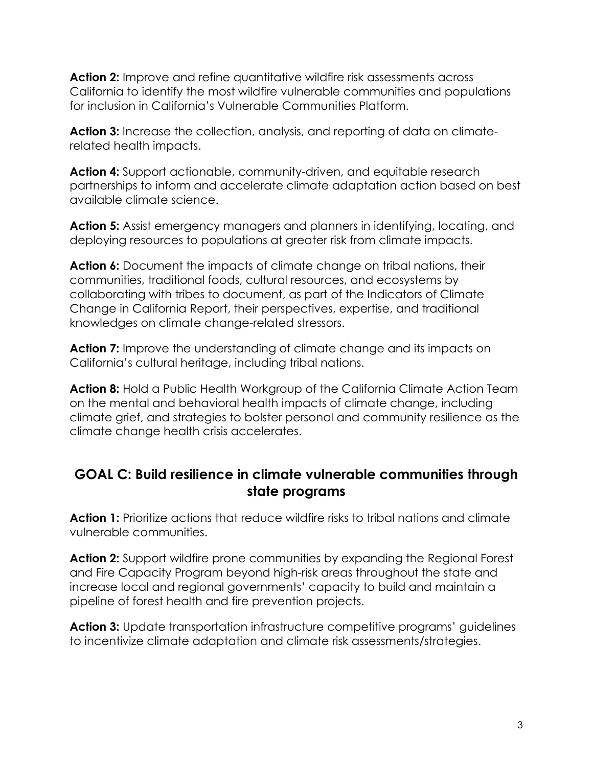**Action 2:** Improve and refine quantitative wildfire risk assessments across California to identify the most wildfire vulnerable communities and populations for inclusion in California's Vulnerable Communities Platform.

**Action 3:** Increase the collection, analysis, and reporting of data on climaterelated health impacts.

**Action 4:** Support actionable, community-driven, and equitable research partnerships to inform and accelerate climate adaptation action based on best available climate science.

**Action 5:** Assist emergency managers and planners in identifying, locating, and deploying resources to populations at greater risk from climate impacts.

**Action 6:** Document the impacts of climate change on tribal nations, their communities, traditional foods, cultural resources, and ecosystems by collaborating with tribes to document, as part of the Indicators of Climate Change in California Report, their perspectives, expertise, and traditional knowledges on climate change-related stressors.

**Action 7:** Improve the understanding of climate change and its impacts on California's cultural heritage, including tribal nations.

**Action 8:** Hold a Public Health Workgroup of the California Climate Action Team on the mental and behavioral health impacts of climate change, including climate grief, and strategies to bolster personal and community resilience as the climate change health crisis accelerates.

### **GOAL C: Build resilience in climate vulnerable communities through state programs**

**Action 1:** Prioritize actions that reduce wildfire risks to tribal nations and climate vulnerable communities.

**Action 2:** Support wildfire prone communities by expanding the Regional Forest and Fire Capacity Program beyond high-risk areas throughout the state and increase local and regional governments' capacity to build and maintain a pipeline of forest health and fire prevention projects.

**Action 3:** Update transportation infrastructure competitive programs' guidelines to incentivize climate adaptation and climate risk assessments/strategies.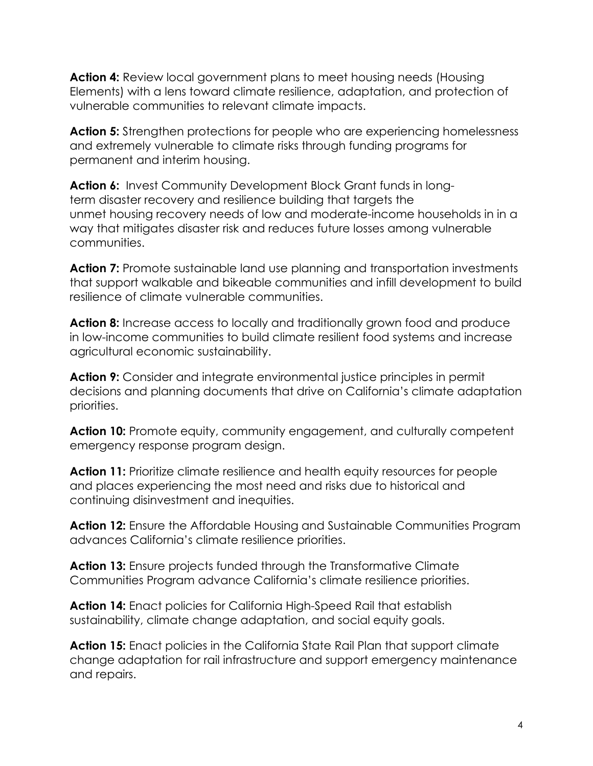**Action 4:** Review local government plans to meet housing needs (Housing Elements) with a lens toward climate resilience, adaptation, and protection of vulnerable communities to relevant climate impacts[.](https://www.hcd.ca.gov/community-development/housing-element/index.shtml)

**Action 5:** Strengthen protections for people who are experiencing homelessness and extremely vulnerable to climate risks through funding programs for permanent and interim housing.

**Action 6:** Invest Community Development Block Grant funds in longterm disaster recovery and resilience building that targets the unmet housing recovery needs of low and moderate-income households in in a way that mitigates disaster risk and reduces future losses among vulnerable communities.

**Action 7:** Promote sustainable land use planning and transportation investments that support walkable and bikeable communities and infill development to build resilience of climate vulnerable communities.

**Action 8:** Increase access to locally and traditionally grown food and produce in low-income communities to build climate resilient food systems and increase agricultural economic sustainability.

**Action 9:** Consider and integrate environmental justice principles in permit decisions and planning documents that drive on California's climate adaptation priorities.

**Action 10:** Promote equity, community engagement, and culturally competent emergency response program design.

**Action 11:** Prioritize climate resilience and health equity resources for people and places experiencing the most need and risks due to historical and continuing disinvestment and inequities.

**Action 12:** Ensure the Affordable Housing and Sustainable Communities Program advances California's climate resilience priorities.

Action 13: Ensure projects funded through the Transformative Climate Communities Program advance California's climate resilience priorities.

**Action 14:** Enact policies for California High-Speed Rail that establish sustainability, climate change adaptation, and social equity goals.

**Action 15:** Enact policies in the California State Rail Plan that support climate change adaptation for rail infrastructure and support emergency maintenance and repairs.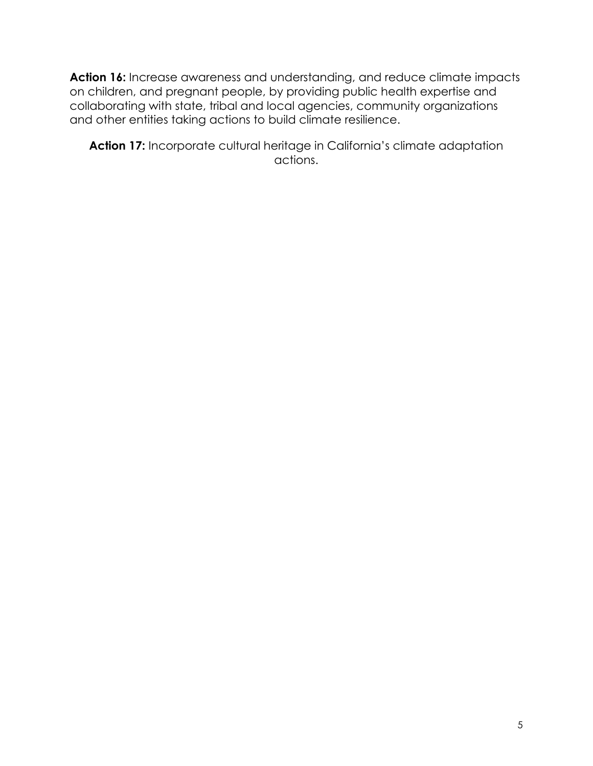**Action 16:** Increase awareness and understanding, and reduce climate impacts on children, and pregnant people, by providing public health expertise and collaborating with state, tribal and local agencies, community organizations and other entities taking actions to build climate resilience.

**Action 17:** Incorporate cultural heritage in California's climate adaptation actions.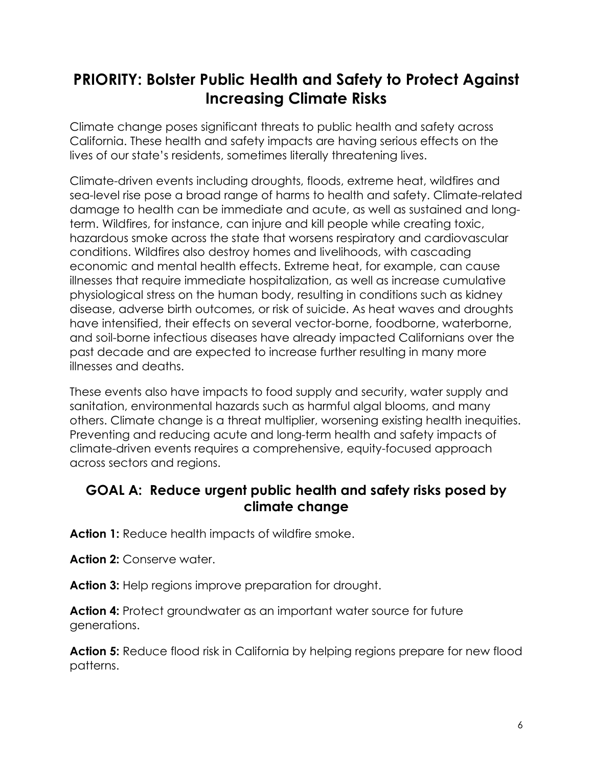# **PRIORITY: Bolster Public Health and Safety to Protect Against Increasing Climate Risks**

Climate change poses significant threats to public health and safety across California. These health and safety impacts are having serious effects on the lives of our state's residents, sometimes literally threatening lives.

Climate-driven events including droughts, floods, extreme heat, wildfires and sea-level rise pose a broad range of harms to health and safety. Climate-related damage to health can be immediate and acute, as well as sustained and longterm. Wildfires, for instance, can injure and kill people while creating toxic, hazardous smoke across the state that worsens respiratory and cardiovascular conditions. Wildfires also destroy homes and livelihoods, with cascading economic and mental health effects. Extreme heat, for example, can cause illnesses that require immediate hospitalization, as well as increase cumulative physiological stress on the human body, resulting in conditions such as kidney disease, adverse birth outcomes, or risk of suicide. As heat waves and droughts have intensified, their effects on several vector-borne, foodborne, waterborne, and soil-borne infectious diseases have already impacted Californians over the past decade and are expected to increase further resulting in many more illnesses and deaths.

These events also have impacts to food supply and security, water supply and sanitation, environmental hazards such as harmful algal blooms, and many others. Climate change is a threat multiplier, worsening existing health inequities. Preventing and reducing acute and long-term health and safety impacts of climate-driven events requires a comprehensive, equity-focused approach across sectors and regions.

## **GOAL A: Reduce urgent public health and safety risks posed by climate change**

**Action 1:** Reduce health impacts of wildfire smoke.

Action 2: Conserve water.

**Action 3:** Help regions improve preparation for drought.

**Action 4:** Protect groundwater as an important water source for future generations.

**Action 5:** Reduce flood risk in California by helping regions prepare for new flood patterns.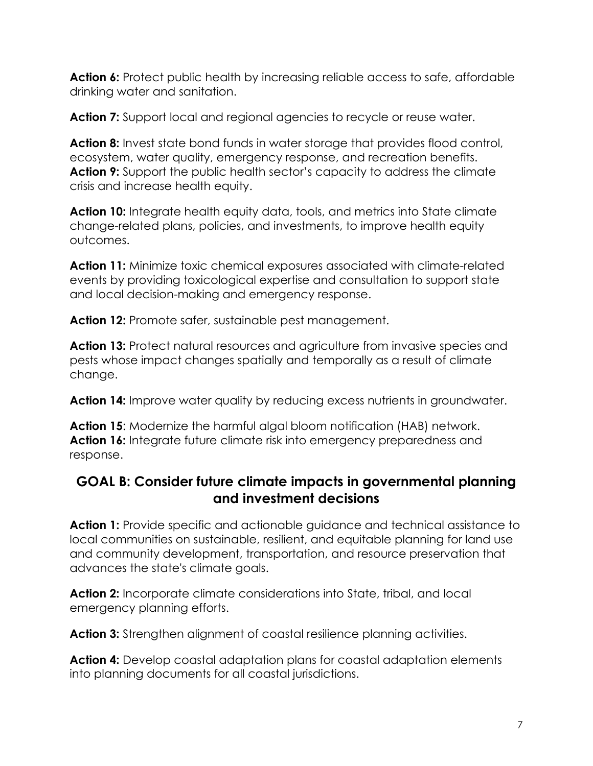**Action 6:** Protect public health by increasing reliable access to safe, affordable drinking water and sanitation.

**Action 7:** Support local and regional agencies to recycle or reuse water.

**Action 8:** Invest state bond funds in water storage that provides flood control, ecosystem, water quality, emergency response, and recreation benefits. **Action 9:** Support the public health sector's capacity to address the climate crisis and increase health equity.

**Action 10:** Integrate health equity data, tools, and metrics into State climate change-related plans, policies, and investments, to improve health equity outcomes.

**Action 11:** Minimize toxic chemical exposures associated with climate-related events by providing toxicological expertise and consultation to support state and local decision-making and emergency response.

Action 12: Promote safer, sustainable pest management.

**Action 13:** Protect natural resources and agriculture from invasive species and pests whose impact changes spatially and temporally as a result of climate change.

**Action 14:** Improve water quality by reducing excess nutrients in groundwater.

**Action 15**: Modernize the harmful algal bloom notification (HAB) network. **Action 16:** Integrate future climate risk into emergency preparedness and response.

## **GOAL B: Consider future climate impacts in governmental planning and investment decisions**

**Action 1:** Provide specific and actionable guidance and technical assistance to local communities on sustainable, resilient, and equitable planning for land use and community development, transportation, and resource preservation that advances the state's climate goals.

**Action 2:** Incorporate climate considerations into State, tribal, and local emergency planning efforts.

**Action 3:** Strengthen alignment of coastal resilience planning activities.

**Action 4:** Develop coastal adaptation plans for coastal adaptation elements into planning documents for all coastal jurisdictions.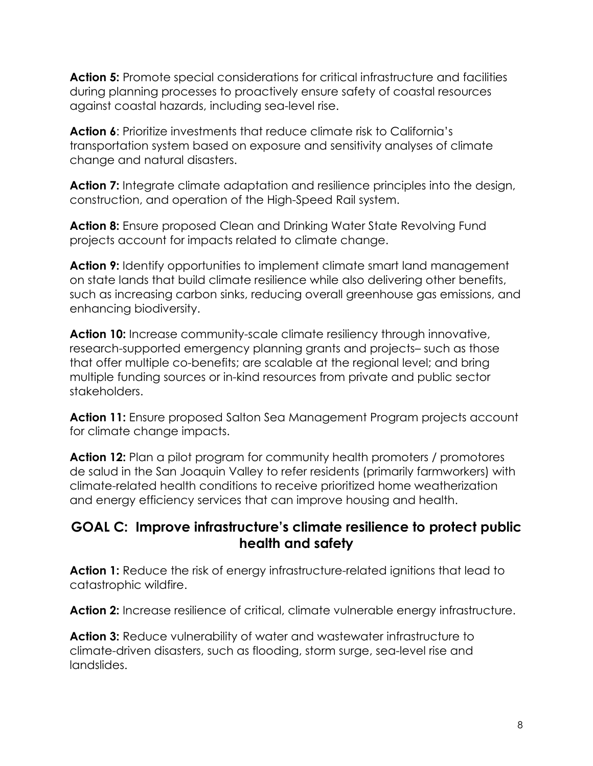**Action 5:** Promote special considerations for critical infrastructure and facilities during planning processes to proactively ensure safety of coastal resources against coastal hazards, including sea-level rise.

**Action 6**: Prioritize investments that reduce climate risk to California's transportation system based on exposure and sensitivity analyses of climate change and natural disasters.

**Action 7:** Integrate climate adaptation and resilience principles into the design, construction, and operation of the High-Speed Rail system.

**Action 8:** Ensure proposed Clean and Drinking Water State Revolving Fund projects account for impacts related to climate change.

**Action 9:** Identify opportunities to implement climate smart land management on state lands that build climate resilience while also delivering other benefits, such as increasing carbon sinks, reducing overall greenhouse gas emissions, and enhancing biodiversity.

Action 10: Increase community-scale climate resiliency through innovative, research-supported emergency planning grants and projects– such as those that offer multiple co-benefits; are scalable at the regional level; and bring multiple funding sources or in-kind resources from private and public sector stakeholders.

**Action 11:** Ensure proposed Salton Sea Management Program projects account for climate change impacts.

**Action 12:** Plan a pilot program for community health promoters / promotores de salud in the San Joaquin Valley to refer residents (primarily farmworkers) with climate-related health conditions to receive prioritized home weatherization and energy efficiency services that can improve housing and health.

### **GOAL C: Improve infrastructure's climate resilience to protect public health and safety**

**Action 1:** Reduce the risk of energy infrastructure-related ignitions that lead to catastrophic wildfire.

**Action 2:** Increase resilience of critical, climate vulnerable energy infrastructure[.](https://www.cpuc.ca.gov/industries-and-topics/electrical-energy/climate-change)

**Action 3:** Reduce vulnerability of water and wastewater infrastructure to climate-driven disasters, such as flooding, storm surge, sea-level rise and landslides.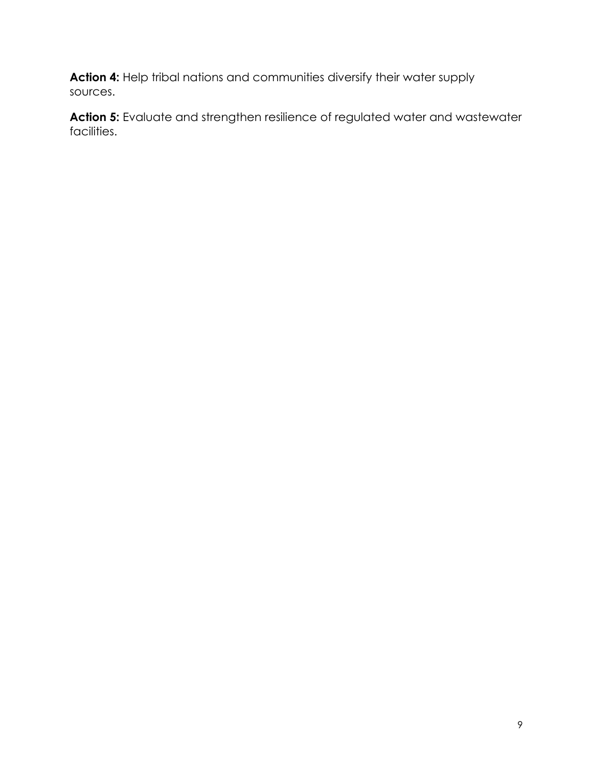**Action 4:** Help tribal nations and communities diversify their water supply sources.

Action 5: Evaluate and strengthen resilience of regulated water and wastewater facilities.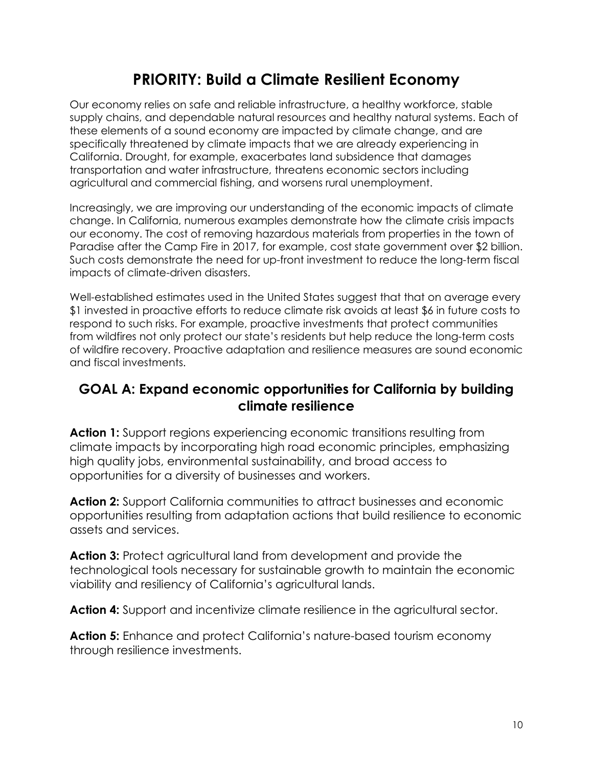# **PRIORITY: Build a Climate Resilient Economy**

Our economy relies on safe and reliable infrastructure, a healthy workforce, stable supply chains, and dependable natural resources and healthy natural systems. Each of these elements of a sound economy are impacted by climate change, and are specifically threatened by climate impacts that we are already experiencing in California. Drought, for example, exacerbates land subsidence that damages transportation and water infrastructure, threatens economic sectors including agricultural and commercial fishing, and worsens rural unemployment.

Increasingly, we are improving our understanding of the economic impacts of climate change. In California, numerous examples demonstrate how the climate crisis impacts our economy. The cost of removing hazardous materials from properties in the town of Paradise after the Camp Fire in 2017, for example, cost state government over \$2 billion. Such costs demonstrate the need for up-front investment to reduce the long-term fiscal impacts of climate-driven disasters.

Well-established estimates used in the United States suggest that that on average every \$1 invested in proactive efforts to reduce climate risk avoids at least \$6 in future costs to respond to such risks. For example, proactive investments that protect communities from wildfires not only protect our state's residents but help reduce the long-term costs of wildfire recovery. Proactive adaptation and resilience measures are sound economic and fiscal investments.

### **GOAL A: Expand economic opportunities for California by building climate resilience**

**Action 1:** Support regions experiencing economic transitions resulting from climate impacts by incorporating high road economic principles, emphasizing high quality jobs, environmental sustainability, and broad access to opportunities for a diversity of businesses and workers.

**Action 2:** Support California communities to attract businesses and economic opportunities resulting from adaptation actions that build resilience to economic assets and services.

**Action 3:** Protect agricultural land from development and provide the technological tools necessary for sustainable growth to maintain the economic viability and resiliency of California's agricultural lands.

**Action 4:** Support and incentivize climate resilience in the agricultural sector.

**Action 5:** Enhance and protect California's nature-based tourism economy through resilience investments.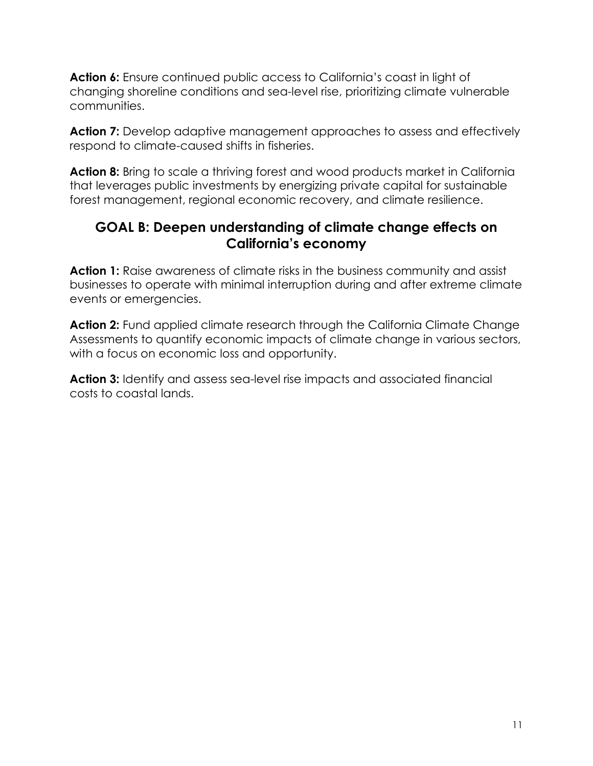**Action 6:** Ensure continued public access to California's coast in light of changing shoreline conditions and sea-level rise, prioritizing climate vulnerable communities.

**Action 7:** Develop adaptive management approaches to assess and effectively respond to climate-caused shifts in fisheries.

**Action 8:** Bring to scale a thriving forest and wood products market in California that leverages public investments by energizing private capital for sustainable forest management, regional economic recovery, and climate resilience.

### **GOAL B: Deepen understanding of climate change effects on California's economy**

**Action 1:** Raise awareness of climate risks in the business community and assist businesses to operate with minimal interruption during and after extreme climate events or emergencies.

**Action 2:** Fund applied climate research through the California Climate Change Assessments to quantify economic impacts of climate change in various sectors, with a focus on economic loss and opportunity.

**Action 3:** Identify and assess sea-level rise impacts and associated financial costs to coastal lands.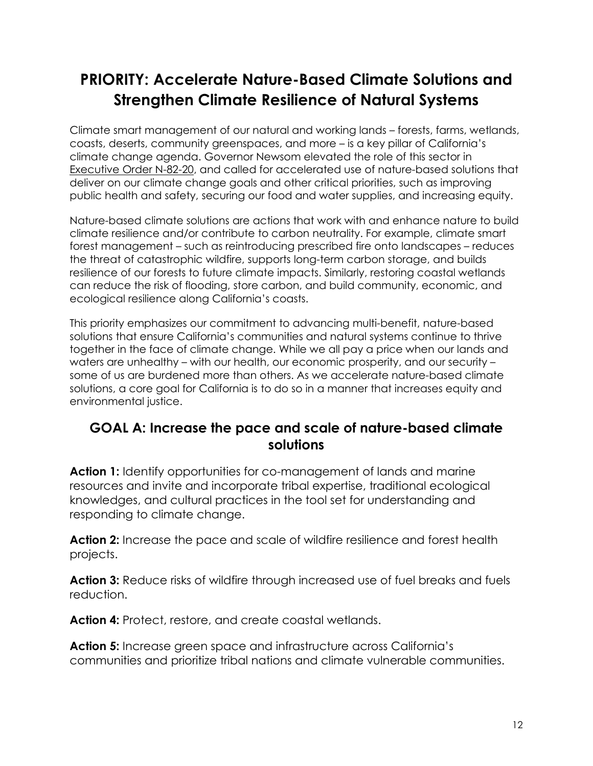# **PRIORITY: Accelerate Nature-Based Climate Solutions and Strengthen Climate Resilience of Natural Systems**

Climate smart management of our natural and working lands – forests, farms, wetlands, coasts, deserts, community greenspaces, and more – is a key pillar of California's climate change agenda. Governor Newsom elevated the role of this sector in [Executive Order N-82-20,](https://www.gov.ca.gov/wp-content/uploads/2020/10/10.07.2020-EO-N-82-20-.pdf) and called for accelerated use of nature-based solutions that deliver on our climate change goals and other critical priorities, such as improving public health and safety, securing our food and water supplies, and increasing equity.

Nature-based climate solutions are actions that work with and enhance nature to build climate resilience and/or contribute to carbon neutrality. For example, climate smart forest management – such as reintroducing prescribed fire onto landscapes – reduces the threat of catastrophic wildfire, supports long-term carbon storage, and builds resilience of our forests to future climate impacts. Similarly, restoring coastal wetlands can reduce the risk of flooding, store carbon, and build community, economic, and ecological resilience along California's coasts.

This priority emphasizes our commitment to advancing multi-benefit, nature-based solutions that ensure California's communities and natural systems continue to thrive together in the face of climate change. While we all pay a price when our lands and waters are unhealthy – with our health, our economic prosperity, and our security – some of us are burdened more than others. As we accelerate nature-based climate solutions, a core goal for California is to do so in a manner that increases equity and environmental justice.

### **GOAL A: Increase the pace and scale of nature-based climate solutions**

Action 1: Identify opportunities for co-management of lands and marine resources and invite and incorporate tribal expertise, traditional ecological knowledges, and cultural practices in the tool set for understanding and responding to climate change.

**Action 2:** Increase the pace and scale of wildfire resilience and forest health projects.

**Action 3:** Reduce risks of wildfire through increased use of fuel breaks and fuels reduction.

**Action 4:** Protect, restore, and create coastal wetlands.

**Action 5:** Increase green space and infrastructure across California's communities and prioritize tribal nations and climate vulnerable communities.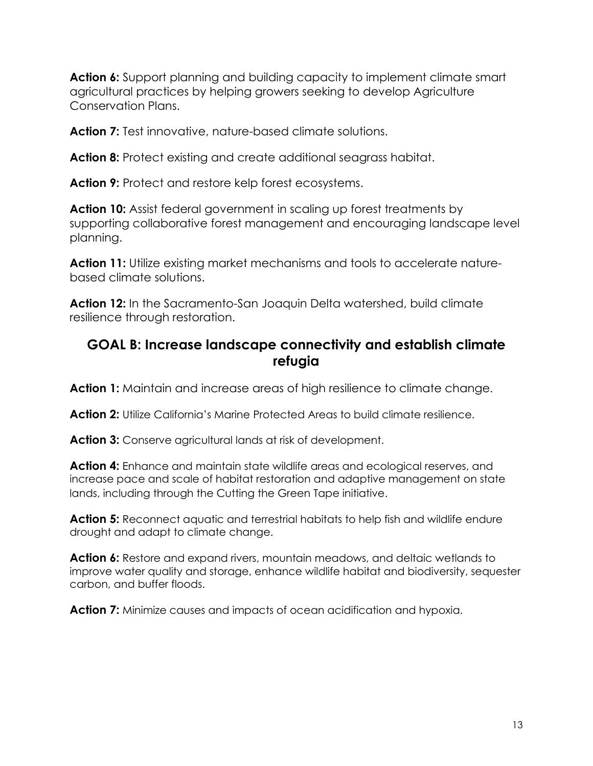**Action 6:** Support planning and building capacity to implement climate smart agricultural practices by helping growers seeking to develop Agriculture Conservation Plans.

**Action 7:** Test innovative, nature-based climate solutions.

**Action 8:** Protect existing and create additional seagrass habitat.

**Action 9:** Protect and restore kelp forest ecosystems.

**Action 10:** Assist federal government in scaling up forest treatments by supporting collaborative forest management and encouraging landscape level planning.

**Action 11:** Utilize existing market mechanisms and tools to accelerate naturebased climate solutions.

**Action 12:** In the Sacramento-San Joaquin Delta watershed, build climate resilience through restoration.

### **GOAL B: Increase landscape connectivity and establish climate refugia**

**Action 1:** Maintain and increase areas of high resilience to climate change.

**Action 2:** Utilize California's Marine Protected Areas to build climate resilience.

**Action 3:** Conserve agricultural lands at risk of development.

**Action 4:** Enhance and maintain state wildlife areas and ecological reserves, and increase pace and scale of habitat restoration and adaptive management on state lands, including through the Cutting the Green Tape initiative.

**Action 5:** Reconnect aquatic and terrestrial habitats to help fish and wildlife endure drought and adapt to climate change.

Action 6: Restore and expand rivers, mountain meadows, and deltaic wetlands to improve water quality and storage, enhance wildlife habitat and biodiversity, sequester carbon, and buffer floods.

**Action 7:** Minimize causes and impacts of ocean acidification and hypoxia.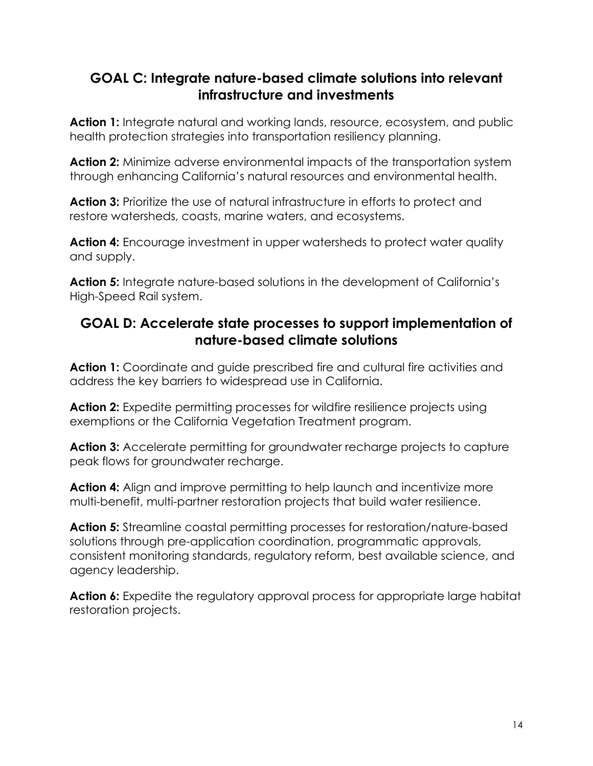## **GOAL C: Integrate nature-based climate solutions into relevant infrastructure and investments**

Action 1: Integrate natural and working lands, resource, ecosystem, and public health protection strategies into transportation resiliency planning.

**Action 2:** Minimize adverse environmental impacts of the transportation system through enhancing California's natural resources and environmental health.

Action 3: Prioritize the use of natural infrastructure in efforts to protect and restore watersheds, coasts, marine waters, and ecosystems.

**Action 4:** Encourage investment in upper watersheds to protect water quality and supply.

**Action 5:** Integrate nature-based solutions in the development of California's High-Speed Rail system.

## **GOAL D: Accelerate state processes to support implementation of nature-based climate solutions**

Action 1: Coordinate and guide prescribed fire and cultural fire activities and address the key barriers to widespread use in California.

**Action 2:** Expedite permitting processes for wildfire resilience projects using exemptions or the California Vegetation Treatment program.

Action 3: Accelerate permitting for groundwater recharge projects to capture peak flows for groundwater recharge.

**Action 4:** Align and improve permitting to help launch and incentivize more multi-benefit, multi-partner restoration projects that build water resilience.

**Action 5:** Streamline coastal permitting processes for restoration/nature-based solutions through pre-application coordination, programmatic approvals, consistent monitoring standards, regulatory reform, best available science, and agency leadership.

Action 6: Expedite the regulatory approval process for appropriate large habitat restoration projects.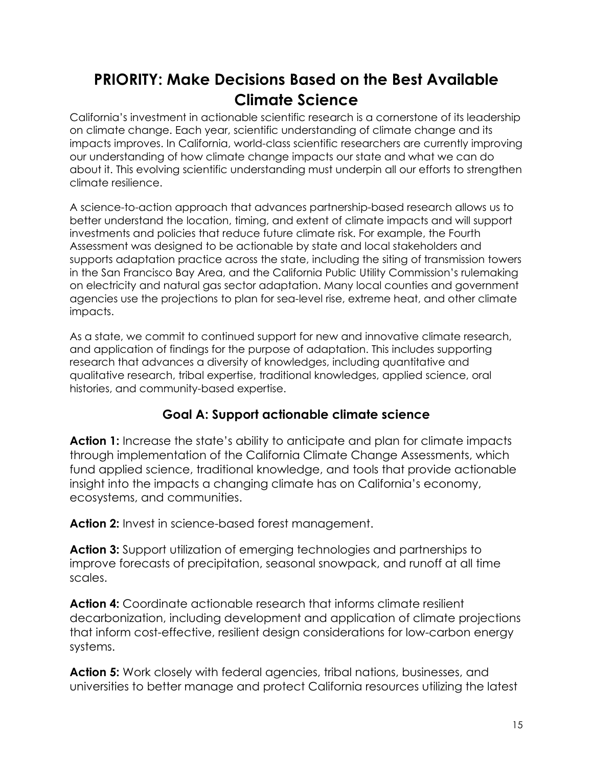# **PRIORITY: Make Decisions Based on the Best Available Climate Science**

California's investment in actionable scientific research is a cornerstone of its leadership on climate change. Each year, scientific understanding of climate change and its impacts improves. In California, world-class scientific researchers are currently improving our understanding of how climate change impacts our state and what we can do about it. This evolving scientific understanding must underpin all our efforts to strengthen climate resilience.

A science-to-action approach that advances partnership-based research allows us to better understand the location, timing, and extent of climate impacts and will support investments and policies that reduce future climate risk. For example, the Fourth Assessment was designed to be actionable by state and local stakeholders and supports adaptation practice across the state, including the siting of transmission towers in the San Francisco Bay Area, and the California Public Utility Commission's rulemaking on electricity and natural gas sector adaptation. Many local counties and government agencies use the projections to plan for sea-level rise, extreme heat, and other climate impacts.

As a state, we commit to continued support for new and innovative climate research, and application of findings for the purpose of adaptation. This includes supporting research that advances a diversity of knowledges, including quantitative and qualitative research, tribal expertise, traditional knowledges, applied science, oral histories, and community-based expertise.

### **Goal A: Support actionable climate science**

**Action 1:** Increase the state's ability to anticipate and plan for climate impacts through implementation of the California Climate Change Assessments, which fund applied science, traditional knowledge, and tools that provide actionable insight into the impacts a changing climate has on California's economy, ecosystems, and communities.

**Action 2:** Invest in science-based forest management.

**Action 3:** Support utilization of emerging technologies and partnerships to improve forecasts of precipitation, seasonal snowpack, and runoff at all time scales.

**Action 4:** Coordinate actionable research that informs climate resilient decarbonization, including development and application of climate projections that inform cost-effective, resilient design considerations for low-carbon energy systems.

**Action 5:** Work closely with federal agencies, tribal nations, businesses, and universities to better manage and protect California resources utilizing the latest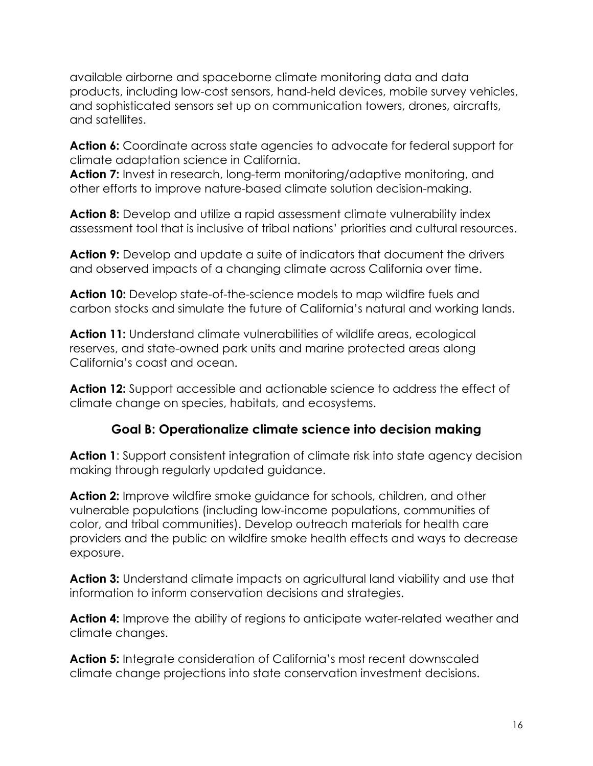available airborne and spaceborne climate monitoring data and data products, including low-cost sensors, hand-held devices, mobile survey vehicles, and sophisticated sensors set up on communication towers, drones, aircrafts, and satellites.

**Action 6:** Coordinate across state agencies to advocate for federal support for climate adaptation science in California.

**Action 7:** Invest in research, long-term monitoring/adaptive monitoring, and other efforts to improve nature-based climate solution decision-making.

**Action 8:** Develop and utilize a rapid assessment climate vulnerability index assessment tool that is inclusive of tribal nations' priorities and cultural resources.

**Action 9:** Develop and update a suite of indicators that document the drivers and observed impacts of a changing climate across California over time.

**Action 10:** Develop state-of-the-science models to map wildfire fuels and carbon stocks and simulate the future of California's natural and working lands.

**Action 11:** Understand climate vulnerabilities of wildlife areas, ecological reserves, and state-owned park units and marine protected areas along California's coast and ocean.

**Action 12:** Support accessible and actionable science to address the effect of climate change on species, habitats, and ecosystems.

### **Goal B: Operationalize climate science into decision making**

**Action 1:** Support consistent integration of climate risk into state agency decision making through regularly updated guidance.

**Action 2:** Improve wildfire smoke guidance for schools, children, and other vulnerable populations (including low-income populations, communities of color, and tribal communities). Develop outreach materials for health care providers and the public on wildfire smoke health effects and ways to decrease exposure.

**Action 3:** Understand climate impacts on agricultural land viability and use that information to inform conservation decisions and strategies.

**Action 4:** Improve the ability of regions to anticipate water-related weather and climate changes.

**Action 5:** Integrate consideration of California's most recent downscaled climate change projections into state conservation investment decisions.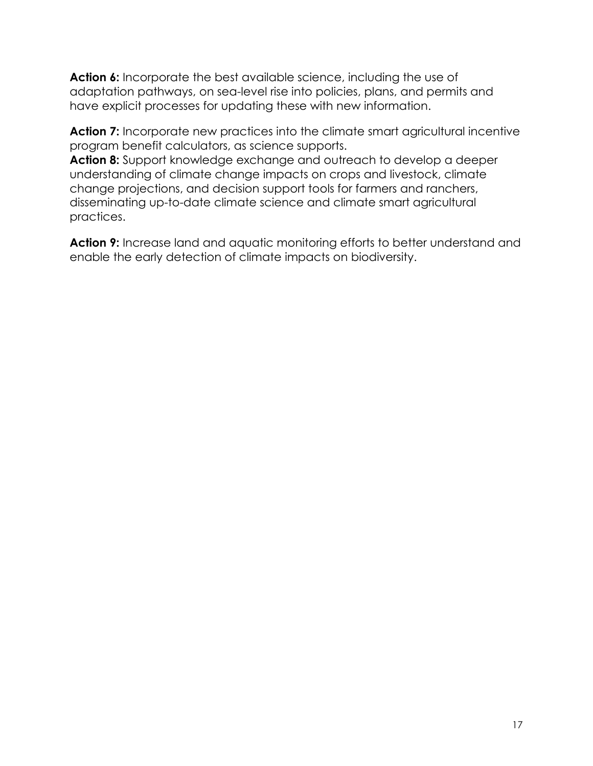**Action 6:** Incorporate the best available science, including the use of adaptation pathways, on sea-level rise into policies, plans, and permits and have explicit processes for updating these with new information.

Action 7: Incorporate new practices into the climate smart agricultural incentive program benefit calculators, as science supports.

**Action 8:** Support knowledge exchange and outreach to develop a deeper understanding of climate change impacts on crops and livestock, climate change projections, and decision support tools for farmers and ranchers, disseminating up-to-date climate science and climate smart agricultural practices.

Action 9: Increase land and aquatic monitoring efforts to better understand and enable the early detection of climate impacts on biodiversity.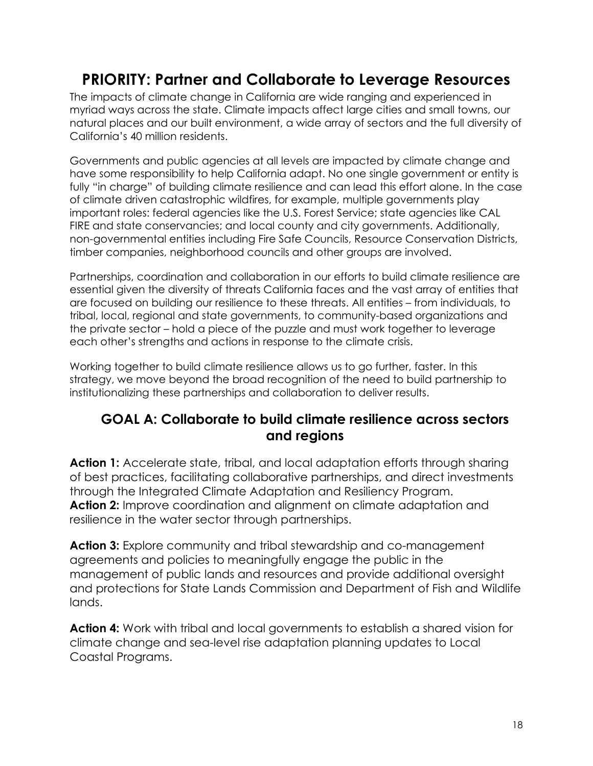# **PRIORITY: Partner and Collaborate to Leverage Resources**

The impacts of climate change in California are wide ranging and experienced in myriad ways across the state. Climate impacts affect large cities and small towns, our natural places and our built environment, a wide array of sectors and the full diversity of California's 40 million residents.

Governments and public agencies at all levels are impacted by climate change and have some responsibility to help California adapt. No one single government or entity is fully "in charge" of building climate resilience and can lead this effort alone. In the case of climate driven catastrophic wildfires, for example, multiple governments play important roles: federal agencies like the U.S. Forest Service; state agencies like CAL FIRE and state conservancies; and local county and city governments. Additionally, non-governmental entities including Fire Safe Councils, Resource Conservation Districts, timber companies, neighborhood councils and other groups are involved.

Partnerships, coordination and collaboration in our efforts to build climate resilience are essential given the diversity of threats California faces and the vast array of entities that are focused on building our resilience to these threats. All entities – from individuals, to tribal, local, regional and state governments, to community-based organizations and the private sector – hold a piece of the puzzle and must work together to leverage each other's strengths and actions in response to the climate crisis.

Working together to build climate resilience allows us to go further, faster. In this strategy, we move beyond the broad recognition of the need to build partnership to institutionalizing these partnerships and collaboration to deliver results.

### **GOAL A: Collaborate to build climate resilience across sectors and regions**

**Action 1:** Accelerate state, tribal, and local adaptation efforts through sharing of best practices, facilitating collaborative partnerships, and direct investments through the Integrated Climate Adaptation and Resiliency Program[.](https://www.opr.ca.gov/planning/icarp) **Action 2:** Improve coordination and alignment on climate adaptation and resilience in the water sector through partnerships.

**Action 3:** Explore community and tribal stewardship and co-management agreements and policies to meaningfully engage the public in the management of public lands and resources and provide additional oversight and protections for State Lands Commission and Department of Fish and Wildlife lands.

**Action 4:** Work with tribal and local governments to establish a shared vision for climate change and sea-level rise adaptation planning updates to Local Coastal Programs.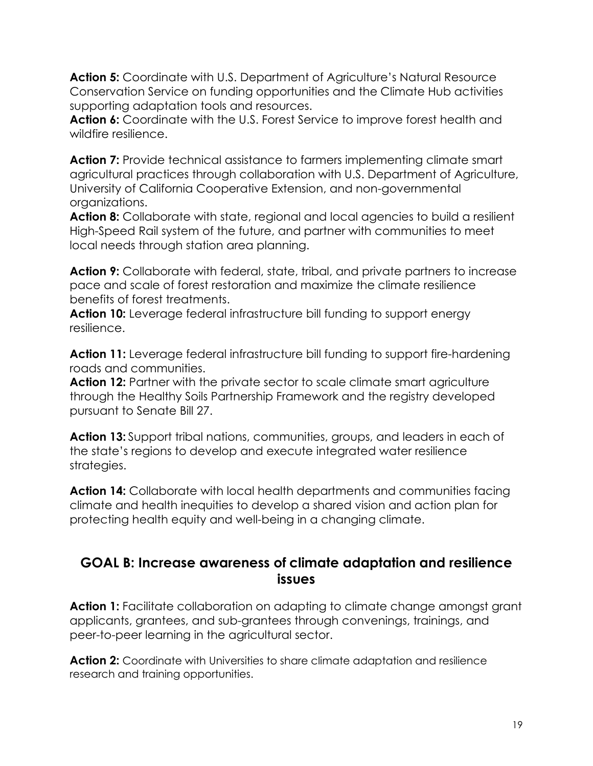**Action 5:** Coordinate with U.S. Department of Agriculture's Natural Resource Conservation Service on funding opportunities and the Climate Hub activities supporting adaptation tools and resources.

**Action 6:** Coordinate with the U.S. Forest Service to improve forest health and wildfire resilience.

**Action 7:** Provide technical assistance to farmers implementing climate smart agricultural practices through collaboration with U.S. Department of Agriculture, University of California Cooperative Extension, and non-governmental organizations.

Action 8: Collaborate with state, regional and local agencies to build a resilient High-Speed Rail system of the future, and partner with communities to meet local needs through station area planning.

**Action 9:** Collaborate with federal, state, tribal, and private partners to increase pace and scale of forest restoration and maximize the climate resilience benefits of forest treatments.

**Action 10:** Leverage federal infrastructure bill funding to support energy resilience.

**Action 11:** Leverage federal infrastructure bill funding to support fire-hardening roads and communities. roads and communities.

**Action 12:** Partner with the private sector to scale climate smart agriculture through the Healthy Soils Partnership Framework and the registry developed pursuant to Senate Bill 27.

**Action 13:** Support tribal nations, communities, groups, and leaders in each of the state's regions to develop and execute integrated water resilience strategies.

**Action 14:** Collaborate with local health departments and communities facing climate and health inequities to develop a shared vision and action plan for protecting health equity and well-being in a changing climate.

### **GOAL B: Increase awareness of climate adaptation and resilience issues**

Action 1: Facilitate collaboration on adapting to climate change amongst grant applicants, grantees, and sub-grantees through convenings, trainings, and peer-to-peer learning in the agricultural sector.

**Action 2:** Coordinate with Universities to share climate adaptation and resilience research and training opportunities.